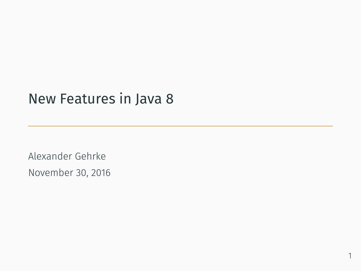# New Features in Java 8

Alexander Gehrke November 30, 2016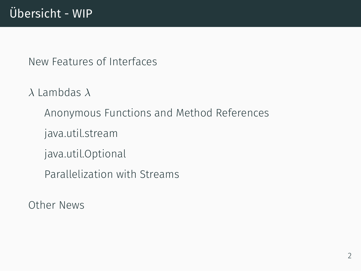# Übersicht - WIP

New Features of Interfaces

*λ* Lambdas *λ*

Anonymous Functions and Method References

java.util.stream

java.util.Optional

Parallelization with Streams

Other News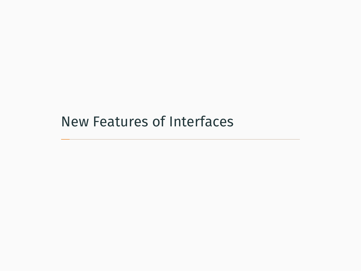New Features of Interfaces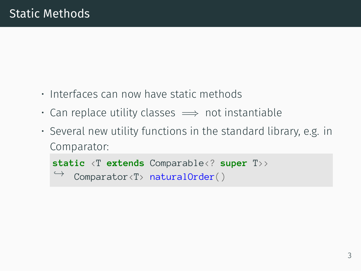- Interfaces can now have static methods
- Can replace utility classes =*⇒* not instantiable
- Several new utility functions in the standard library, e.g. in Comparator:

```
static <T extends Comparable<? super T>>
    Comparator<T> naturalOrder()
```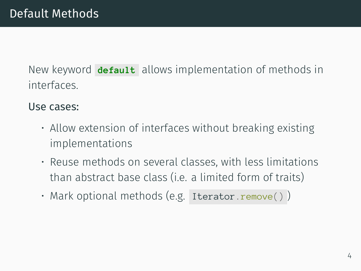New keyword **default** allows implementation of methods in interfaces.

#### Use cases:

- Allow extension of interfaces without breaking existing implementations
- Reuse methods on several classes, with less limitations than abstract base class (i.e. a limited form of traits)
- Mark optional methods (e.g. Iterator.remove())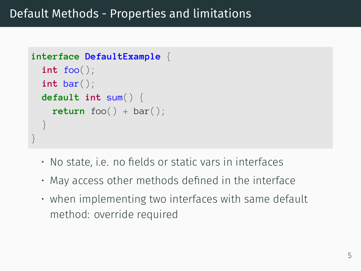```
interface DefaultExample {
  int foo();
  int bar();
  default int sum() {
    return foo() + bar();
  }
}
```
- No state, i.e. no fields or static vars in interfaces
- May access other methods defined in the interface
- when implementing two interfaces with same default method: override required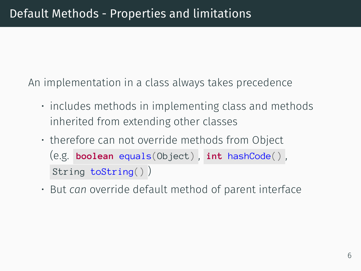An implementation in a class always takes precedence

- includes methods in implementing class and methods inherited from extending other classes
- therefore can not override methods from Object (e.g. **boolean** equals(Object) , **int** hashCode() , String toString() )
- But *can* override default method of parent interface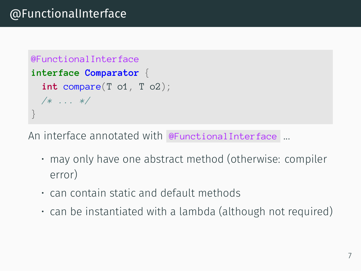```
@FunctionalInterface
interface Comparator {
  int compare(T o1, T o2);
  /* ... */
}
```
An interface annotated with @FunctionalInterface ...

- may only have one abstract method (otherwise: compiler error)
- can contain static and default methods
- can be instantiated with a lambda (although not required)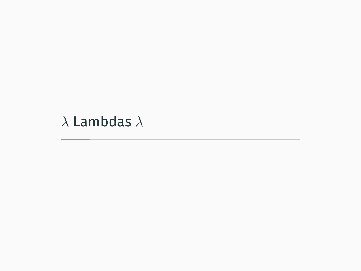*λ* Lambdas *λ*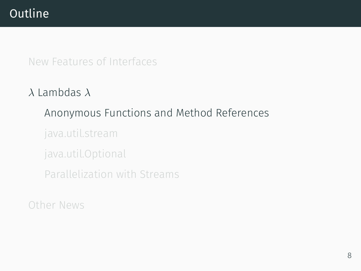# **Outline**

#### New Features of Interfaces

# *λ* Lambdas *λ*

# Anonymous Functions and Method References

java.util.stream

java.util.Optional

Parallelization with Streams

### Other News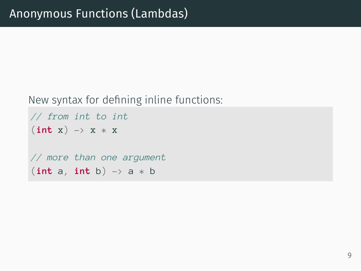#### New syntax for defining inline functions:

```
// from int to int
(int x) \rightarrow x * x// more than one argument
(int a, int b) -> a * b
```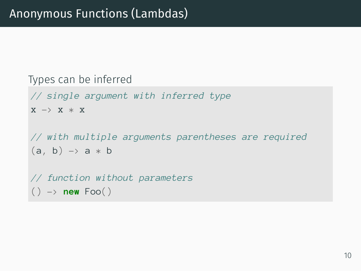```
Types can be inferred
// single argument with inferred type
X \rightarrow X * X// with multiple arguments parentheses are required
(a, b) \rightarrow a * b// function without parameters
() \rightarrow new Foo()
```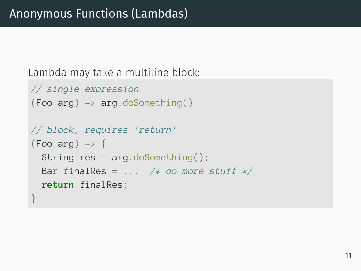Lambda may take a multiline block:

```
// single expression
(Foo arg) \rightarrow arg.doSomething()// block, requires 'return'
(Foo arg) \rightarrow \{String res = arg.doSomething();
  Bar finalRes = ... /* do more stuff */
  return finalRes;
}
```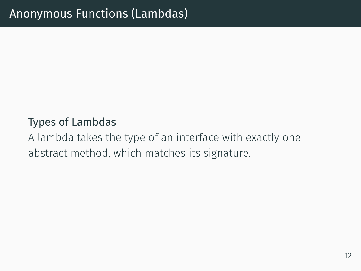#### Types of Lambdas

A lambda takes the type of an interface with exactly one abstract method, which matches its signature.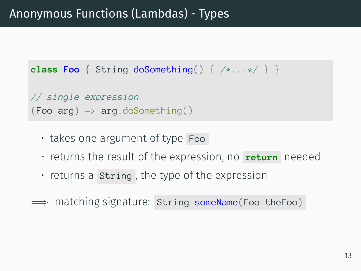```
class Foo { String doSomething() { /*...*/ } }
```

```
// single expression
(Food arq) \rightarrow \text{arg.do}Something()
```
- takes one argument of type Foo
- returns the result of the expression, no **return** needed
- returns a String , the type of the expression
- $\implies$  matching signature: String someName(Foo theFoo)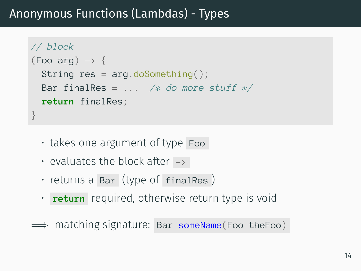# Anonymous Functions (Lambdas) - Types

```
// block
(Foo arg) \rightarrow \{String res = arg.doSomething();
  Bar finalRes = ... /* do more stuff */
  return finalRes;
}
```
- takes one argument of type Foo
- evaluates the block after  $\rightarrow$
- returns a Bar (type of finalRes )
- **return** required, otherwise return type is void
- =*⇒* matching signature: Bar someName(Foo theFoo)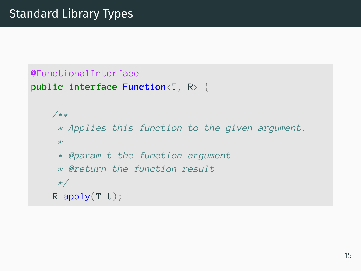```
@FunctionalInterface
public interface Function<T, R> {
    /**
     * Applies this function to the given argument.
     *
     * @param t the function argument
     * @return the function result
     */
    R apply(T t);
```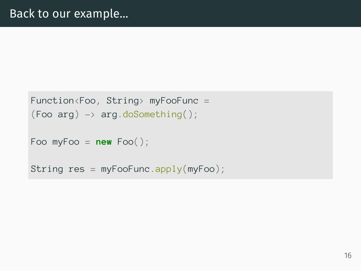```
Function<Foo, String> myFooFunc =
(Food arg) \rightarrow arg.doSomething;
```

```
Foo myFoo = new Foo();
```

```
String res = myFooFunc.appendy(myFoo);
```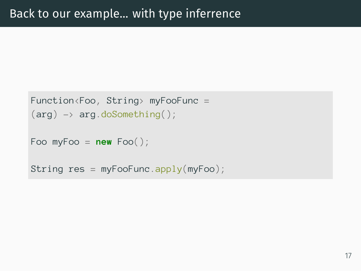```
Function<Foo, String> myFooFunc =
(\text{arg}) \rightarrow \text{arg.doSomething});
Foo myFoo = new Foo();
String res = myFooFunc.appendy(myFoo);
```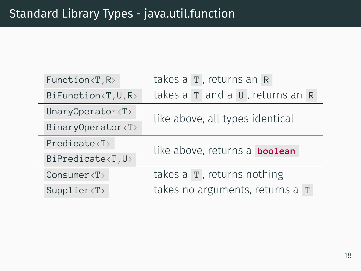| Function(T, R)                  | takes a T, returns an R            |
|---------------------------------|------------------------------------|
| BiFunction <t, r="" u,=""></t,> | takes a T and a U, returns an R    |
| UnaryOperator <t></t>           | like above, all types identical    |
| BinaryOperator <t></t>          |                                    |
| $Predicate \langle T \rangle$   | like above, returns a boolean      |
| BiPredicate <t, u=""></t,>      |                                    |
|                                 |                                    |
| Consumer $\langle T \rangle$    | takes $a \mid r$ , returns nothing |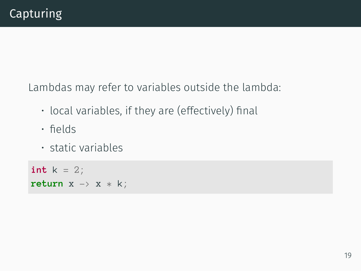Lambdas may refer to variables outside the lambda:

- local variables, if they are (effectively) final
- fields
- static variables

 $int k = 2;$ return  $x \rightarrow x * k$ ;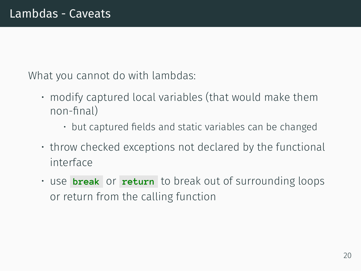What you cannot do with lambdas:

- modify captured local variables (that would make them non-final)
	- but captured fields and static variables can be changed
- throw checked exceptions not declared by the functional interface
- use **break** or **return** to break out of surrounding loops or return from the calling function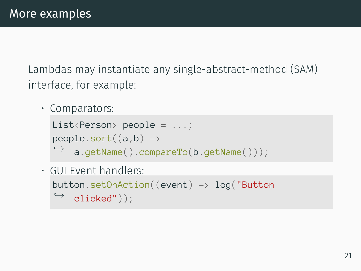Lambdas may instantiate any single-abstract-method (SAM) interface, for example:

• Comparators:

```
List<Person> people = ...;
people.sort((a,b) \rightarrowa.getName().compareTo(b.getName()));
```
• GUI Event handlers: button.setOnAction((event)  $\rightarrow$  log("Button clicked")); *,→*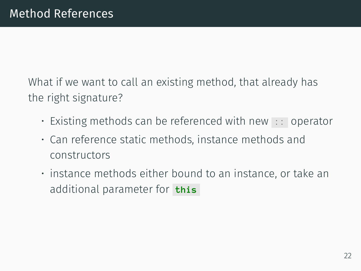What if we want to call an existing method, that already has the right signature?

- Existing methods can be referenced with new :: operator
- Can reference static methods, instance methods and constructors
- instance methods either bound to an instance, or take an additional parameter for **this**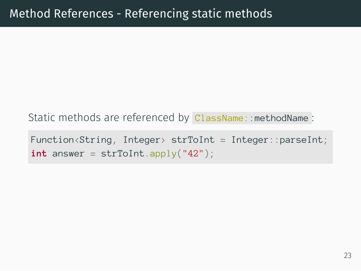Static methods are referenced by ClassName: : methodName :

Function<String, Integer> strToInt = Integer::parseInt;  $int answer = strTolnt.append(y("42");$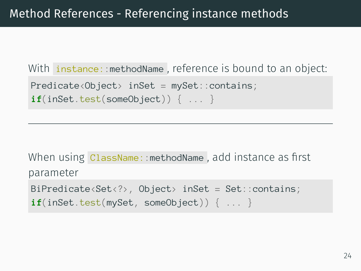With instance::methodName, reference is bound to an object: Predicate<Object> inSet = mySet::contains; **if**(inSet.test(someObject)) { ... }

When using ClassName::methodName, add instance as first parameter BiPredicate<Set<?>, Object> inSet = Set::contains; if(inSet.test(mySet, someObject)) { ... }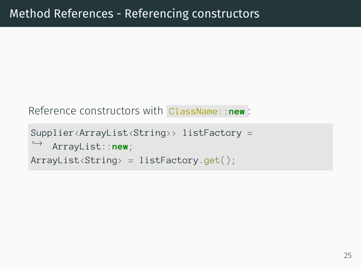```
Reference constructors with ClassName::new :
```

```
Supplier<ArrayList<String>> listFactory =
   ArrayList::new;
,→
ArrayList<String> = listFactory.get();
```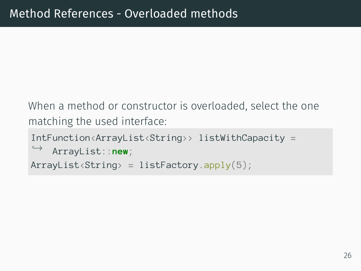When a method or constructor is overloaded, select the one matching the used interface:

```
IntFunction<ArrayList<String>> listWithCapacity =
    ArrayList::new;
,→
ArrayList\langle String \rangle = listFactory.append(v(5));
```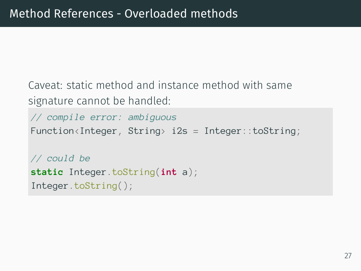Caveat: static method and instance method with same signature cannot be handled:

```
// compile error: ambiguous
Function<Integer, String> i2s = Integer::toString;
// could be
static Integer.toString(int a);
Integer.toString();
```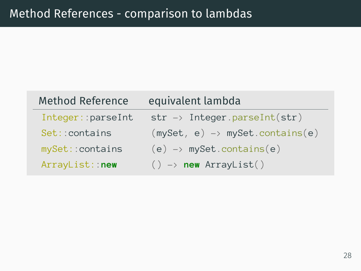| <b>Method Reference</b> | equivalent lambda                          |
|-------------------------|--------------------------------------------|
| Integer::parseInt       | $str \rightarrow$ Integer.parseInt(str)    |
| Set:: contains          | $(mySet, e) \rightarrow mySet.contains(e)$ |
| mySet:: contains        | $(e) \rightarrow$ mySet.contains(e)        |
| ArrayList:: new         | $() \rightarrow new ArrayList()$           |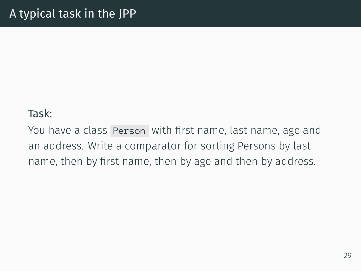#### Task:

You have a class Person with first name, last name, age and an address. Write a comparator for sorting Persons by last name, then by first name, then by age and then by address.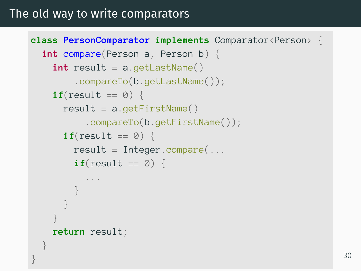### The old way to write comparators

}

```
class PersonComparator implements Comparator<Person> {
  int compare(Person a, Person b) {
    int result = a.getLastName().compareTo(b.getLastName());
    if(result == 0) {
      result = a.getFirstName().compareTo(b.getFirstName());
      \mathbf{if}(\text{result} == \emptyset) {
        result = Integer.compile...
        if(result == 0) {
           ...
         }
       }
    }
    return result;
  }
```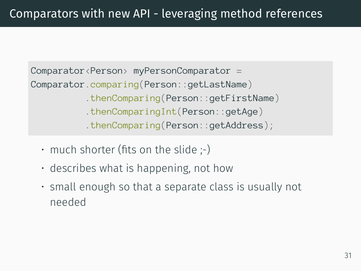Comparator<Person> myPersonComparator = Comparator.comparing(Person::getLastName) .thenComparing(Person::getFirstName) .thenComparingInt(Person::getAge) .thenComparing(Person::getAddress);

- $\cdot$  much shorter (fits on the slide ;-)
- describes what is happening, not how
- small enough so that a separate class is usually not needed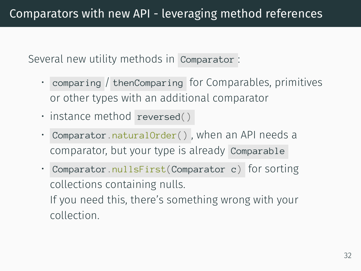Several new utility methods in Comparator :

- comparing / thenComparing for Comparables, primitives or other types with an additional comparator
- instance method reversed()
- Comparator.naturalOrder() , when an API needs a comparator, but your type is already Comparable
- Comparator.nullsFirst(Comparator c) for sorting collections containing nulls. If you need this, there's something wrong with your

collection.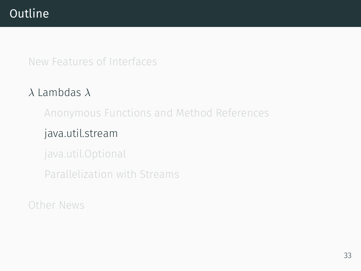# **Outline**

### New Features of Interfaces

# *λ* Lambdas *λ*

Anonymous Functions and Method References

### java.util.stream

java.util.Optional

Parallelization with Streams

# Other News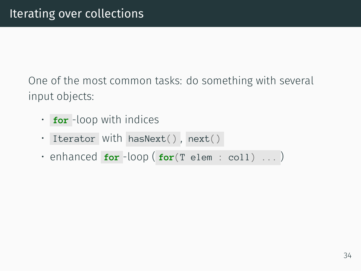One of the most common tasks: do something with several input objects:

- **for** -loop with indices
- Iterator with hasNext() , next()
- enhanced **for** -loop ( **for**(T elem : coll) ... )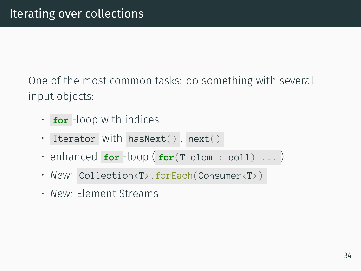One of the most common tasks: do something with several input objects:

- **for** -loop with indices
- Iterator with hasNext(), next()
- enhanced **for** -loop ( **for**(T elem : coll) ... )
- New: Collection<T>.forEach(Consumer<T>)
- *New:* Element Streams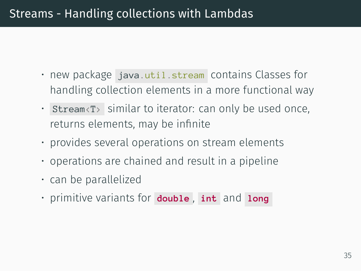## Streams - Handling collections with Lambdas

- new package java.util.stream contains Classes for handling collection elements in a more functional way
- Stream<T> similar to iterator: can only be used once, returns elements, may be infinite
- provides several operations on stream elements
- operations are chained and result in a pipeline
- can be parallelized
- primitive variants for **double** , **int** and **long**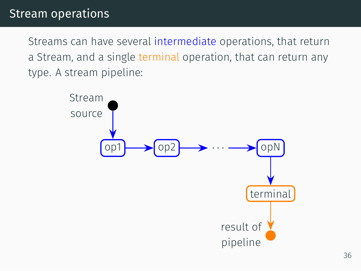Streams can have several intermediate operations, that return a Stream, and a single terminal operation, that can return any type. A stream pipeline:

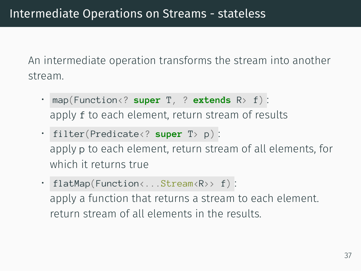An intermediate operation transforms the stream into another stream.

- map(Function<? **super** T, ? **extends** R> f) : apply f to each element, return stream of results
- filter(Predicate<? **super** T> p) : apply p to each element, return stream of all elements, for which it returns true
- flatMap(Function<...Stream<R>>f): apply a function that returns a stream to each element. return stream of all elements in the results.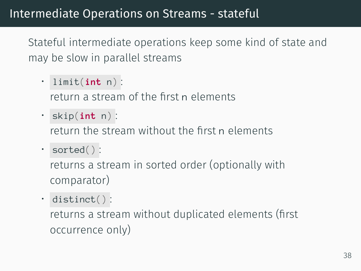Stateful intermediate operations keep some kind of state and may be slow in parallel streams

• limit(**int** n) :

return a stream of the first n elements

• skip(**int** n) :

return the stream without the first n elements

• sorted() :

returns a stream in sorted order (optionally with comparator)

• distinct() :

returns a stream without duplicated elements (first occurrence only)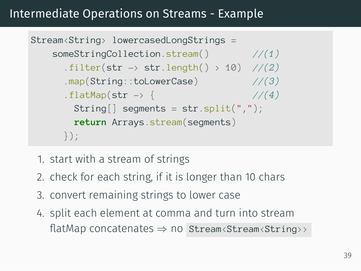## Intermediate Operations on Streams - Example

```
Stream<String> lowercasedLongStrings =
   someStringCollection.stream() //(1)
      .filter(str -> str.length() > 10) //(2)
      .map(String::toLowerCase) //(3)
      . flatMap(str \rightarrow { \frac{1}{4}String[] segments = str.split(",");
       return Arrays.stream(segments)
     });
```
- 1. start with a stream of strings
- 2. check for each string, if it is longer than 10 chars
- 3. convert remaining strings to lower case
- 4. split each element at comma and turn into stream flatMap concatenates *⇒* no Stream<Stream<String>>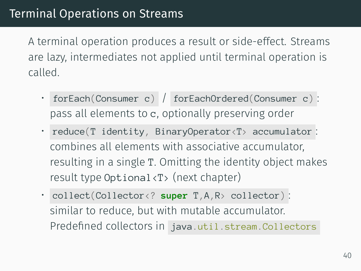A terminal operation produces a result or side-effect. Streams are lazy, intermediates not applied until terminal operation is called.

- forEach(Consumer c) / forEachOrdered(Consumer c) : pass all elements to c, optionally preserving order
- reduce(T identity, BinaryOperator<T> accumulator : combines all elements with associative accumulator, resulting in a single T. Omitting the identity object makes result type Optional<T> (next chapter)
- collect(Collector<? **super** T,A,R> collector) : similar to reduce, but with mutable accumulator. Predefined collectors in java.util.stream.Collectors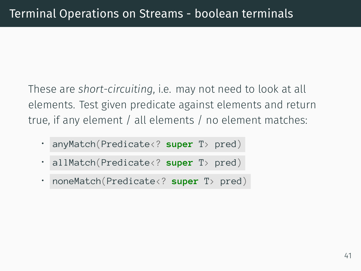These are *short-circuiting*, i.e. may not need to look at all elements. Test given predicate against elements and return true, if any element / all elements / no element matches:

- anyMatch(Predicate<? **super** T> pred)
- allMatch(Predicate<? **super** T> pred)
- noneMatch(Predicate<? **super** T> pred)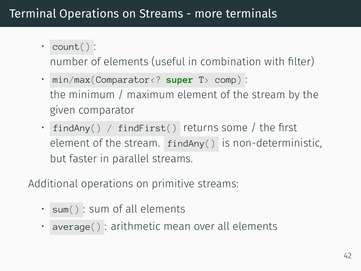# Terminal Operations on Streams - more terminals

• count() :

number of elements (useful in combination with filter)

- min/max(Comparator<? **super** T> comp) : the minimum / maximum element of the stream by the given comparator
- findAny() / findFirst() returns some / the first element of the stream. findAny() is non-deterministic, but faster in parallel streams.

Additional operations on primitive streams:

- sum() : sum of all elements
- average() : arithmetic mean over all elements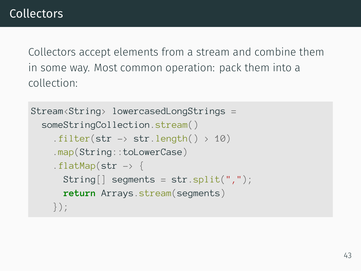```
Stream<String> lowercasedLongStrings =
  someStringCollection.stream()
    .filter(str \rightarrow str.length() > 10)
    .map(String::toLowerCase)
    .flatMap(str \rightarrow {
      String[] segments = str.split(",");
      return Arrays.stream(segments)
    });
```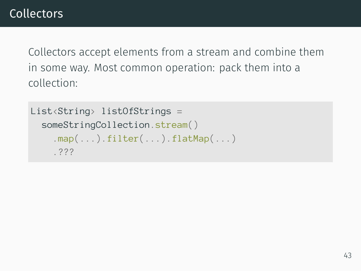```
List<String> listOfStrings =
  someStringCollection.stream()
    map(...).filter(...).flatMap(...)
    .???
```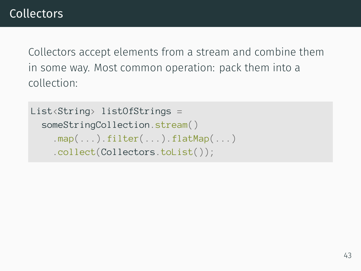```
List<String> listOfStrings =
  someStringCollection.stream()
    map(...).filter(...).flatMap(...)
    .collect(Collectors.toList());
```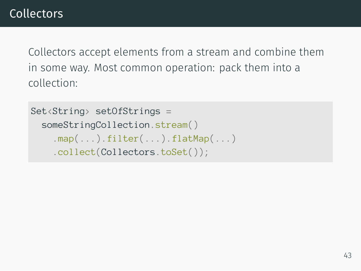```
Set<String> setOfStrings =
  someStringCollection.stream()
    map(...).filter(...).flatMap(...)
    .collect(Collectors.toSet());
```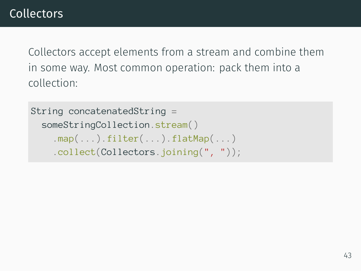```
String concatenatedString =
  someStringCollection.stream()
    map(...).filter(...).flatMap(...)
    .collect(Collectors.joining(", "));
```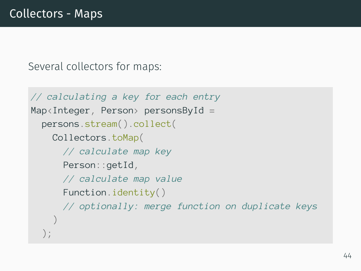Several collectors for maps:

```
// calculating a key for each entry
Map \triangle Integer, Person> personsById =
  persons.stream().collect(
    Collectors.toMap(
      // calculate map key
      Person::getId,
      // calculate map value
      Function.identity()
      // optionally: merge function on duplicate keys
    )
  );
```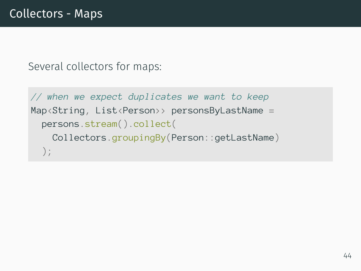Several collectors for maps:

```
// when we expect duplicates we want to keep
Map<String, List<Person>> personsByLastName =
  persons.stream().collect(
    Collectors.groupingBy(Person::getLastName)
  );
```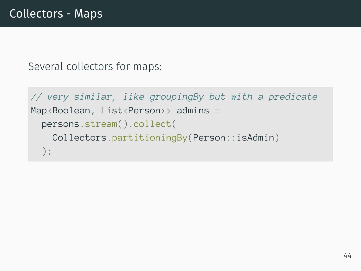Several collectors for maps:

```
// very similar, like groupingBy but with a predicate
Map<Boolean, List<Person>> admins =
  persons.stream().collect(
    Collectors.partitioningBy(Person::isAdmin)
  );
```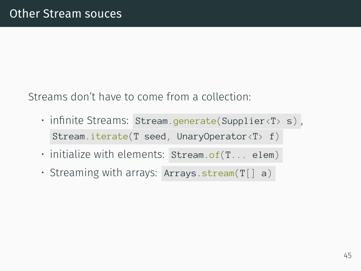Streams don't have to come from a collection:

- infinite Streams: Stream.generate(Supplier<T> s) , Stream.iterate(T seed, UnaryOperator<T> f)
- $\cdot$  initialize with elements: Stream.of(T... elem)
- Streaming with arrays: Arrays.stream(T[] a)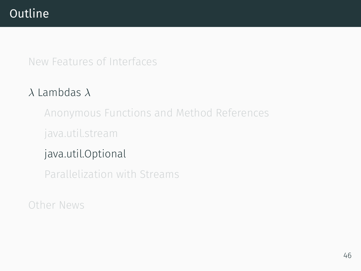# **Outline**

New Features of Interfaces

## *λ* Lambdas *λ*

Anonymous Functions and Method References

java.util.stream

# java.util.Optional

Parallelization with Streams

Other News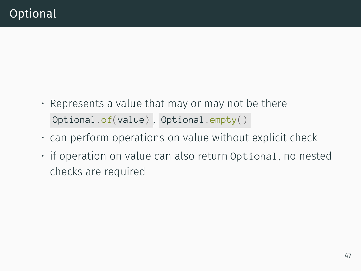- Represents a value that may or may not be there Optional.of(value) , Optional.empty()
- can perform operations on value without explicit check
- if operation on value can also return Optional, no nested checks are required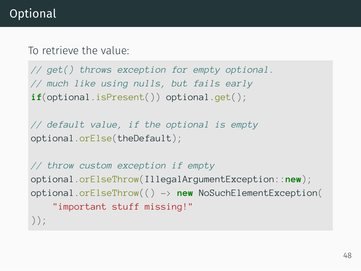# Optional

To retrieve the value:

*// get() throws exception for empty optional. // much like using nulls, but fails early* **if**(optional.isPresent()) optional.get();

*// default value, if the optional is empty* optional.orElse(theDefault);

```
// throw custom exception if empty
optional.orElseThrow(IllegalArgumentException::new);
optional.orElseThrow(() -> new NoSuchElementException(
    "important stuff missing!"
));
```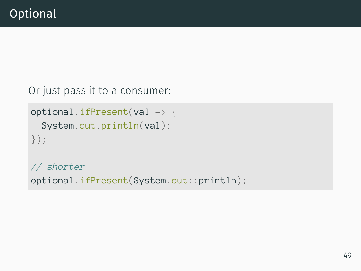Or just pass it to a consumer:

```
optional.ifPresent(val -> {
  System.out.println(val);
});
```
*// shorter* optional.ifPresent(System.out::println);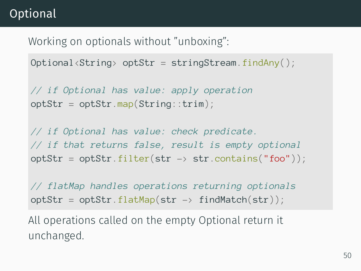# Optional

Working on optionals without "unboxing":

 $Optional \langle String \rangle$  opt $Str = stringStream.findAny()$ ;

*// if Optional has value: apply operation*  $optStr = optStr.map(Striangle:trim);$ 

*// if Optional has value: check predicate. // if that returns false, result is empty optional* optStr =  $optStr.filter(str \rightarrow str.contrib(s)$ ;

*// flatMap handles operations returning optionals*  $optStr = optStr.flatMap(str \rightarrow findMatch(str)$ ;

All operations called on the empty Optional return it unchanged.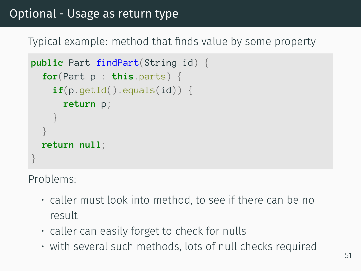## Optional - Usage as return type

Typical example: method that finds value by some property

```
public Part findPart(String id) {
  for(Part p : this.parts) {
    \textbf{if}(p.\text{getId}() \text{.equals}(id)) {
       return p;
     }
  }
  return null;
}
```
Problems:

- caller must look into method, to see if there can be no result
- caller can easily forget to check for nulls
- with several such methods, lots of null checks required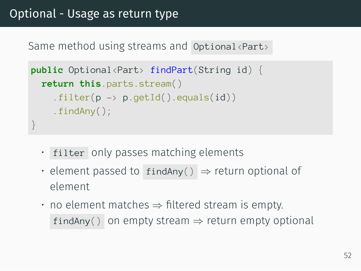Same method using streams and Optional <Part>

```
public Optional<Part> findPart(String id) {
  return this.parts.stream()
    .filter(p \rightarrow p.getId().equals(id))
    .findAny();
}
```
- filter only passes matching elements
- element passed to findAny() *⇒* return optional of element
- no element matches *⇒* filtered stream is empty. findAny() on empty stream *⇒* return empty optional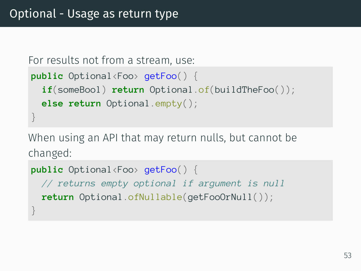```
For results not from a stream, use:
public Optional<Foo> getFoo() {
  if(someBool) return Optional.of(buildTheFoo());
  else return Optional.empty();
}
```
When using an API that may return nulls, but cannot be changed:

```
public Optional<Foo> getFoo() {
 // returns empty optional if argument is null
 return Optional.ofNullable(getFooOrNull());
}
```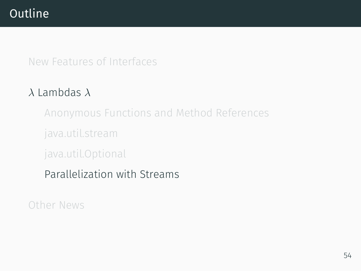# **Outline**

New Features of Interfaces

## *λ* Lambdas *λ*

Anonymous Functions and Method References

java.util.stream

java.util.Optional

# Parallelization with Streams

Other News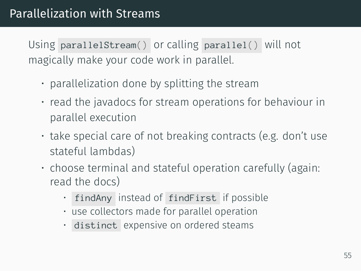Using parallelStream() or calling parallel() will not magically make your code work in parallel.

- parallelization done by splitting the stream
- read the javadocs for stream operations for behaviour in parallel execution
- take special care of not breaking contracts (e.g. don't use stateful lambdas)
- choose terminal and stateful operation carefully (again: read the docs)
	- findAny instead of findFirst if possible
	- use collectors made for parallel operation
	- distinct expensive on ordered steams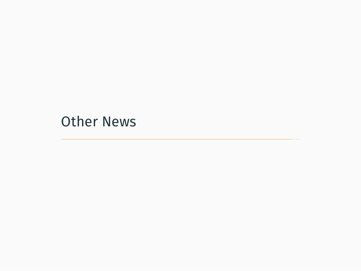Other News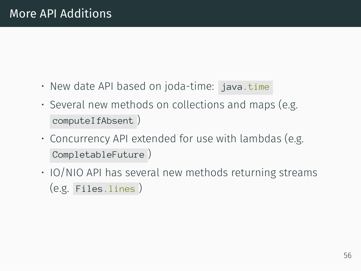- New date API based on joda-time: java.time
- Several new methods on collections and maps (e.g. computeIfAbsent )
- Concurrency API extended for use with lambdas (e.g. CompletableFuture )
- IO/NIO API has several new methods returning streams (e.g. Files.lines )